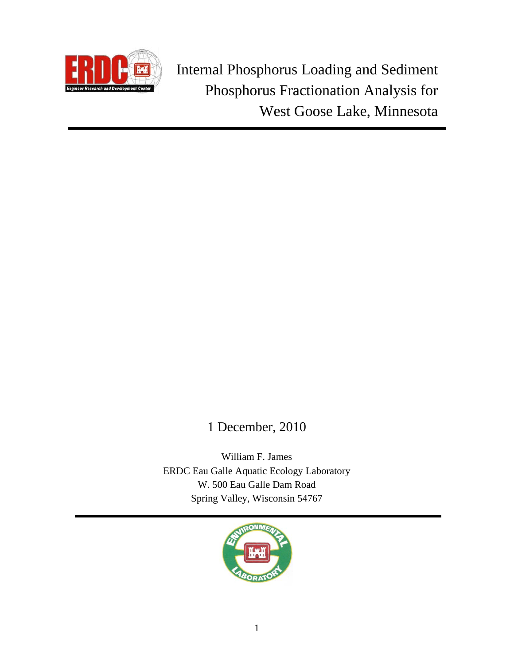

 Internal Phosphorus Loading and Sediment Phosphorus Fractionation Analysis for West Goose Lake, Minnesota

# 1 December, 2010

William F. James ERDC Eau Galle Aquatic Ecology Laboratory W. 500 Eau Galle Dam Road Spring Valley, Wisconsin 54767

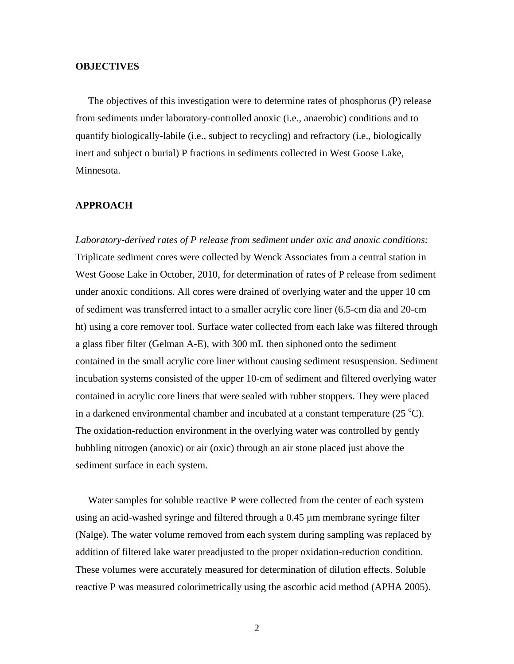## **OBJECTIVES**

 The objectives of this investigation were to determine rates of phosphorus (P) release from sediments under laboratory-controlled anoxic (i.e., anaerobic) conditions and to quantify biologically-labile (i.e., subject to recycling) and refractory (i.e., biologically inert and subject o burial) P fractions in sediments collected in West Goose Lake, Minnesota.

## **APPROACH**

*Laboratory-derived rates of P release from sediment under oxic and anoxic conditions:*  Triplicate sediment cores were collected by Wenck Associates from a central station in West Goose Lake in October, 2010, for determination of rates of P release from sediment under anoxic conditions. All cores were drained of overlying water and the upper 10 cm of sediment was transferred intact to a smaller acrylic core liner (6.5-cm dia and 20-cm ht) using a core remover tool. Surface water collected from each lake was filtered through a glass fiber filter (Gelman A-E), with 300 mL then siphoned onto the sediment contained in the small acrylic core liner without causing sediment resuspension. Sediment incubation systems consisted of the upper 10-cm of sediment and filtered overlying water contained in acrylic core liners that were sealed with rubber stoppers. They were placed in a darkened environmental chamber and incubated at a constant temperature  $(25 °C)$ . The oxidation-reduction environment in the overlying water was controlled by gently bubbling nitrogen (anoxic) or air (oxic) through an air stone placed just above the sediment surface in each system.

 Water samples for soluble reactive P were collected from the center of each system using an acid-washed syringe and filtered through a 0.45 µm membrane syringe filter (Nalge). The water volume removed from each system during sampling was replaced by addition of filtered lake water preadjusted to the proper oxidation-reduction condition. These volumes were accurately measured for determination of dilution effects. Soluble reactive P was measured colorimetrically using the ascorbic acid method (APHA 2005).

2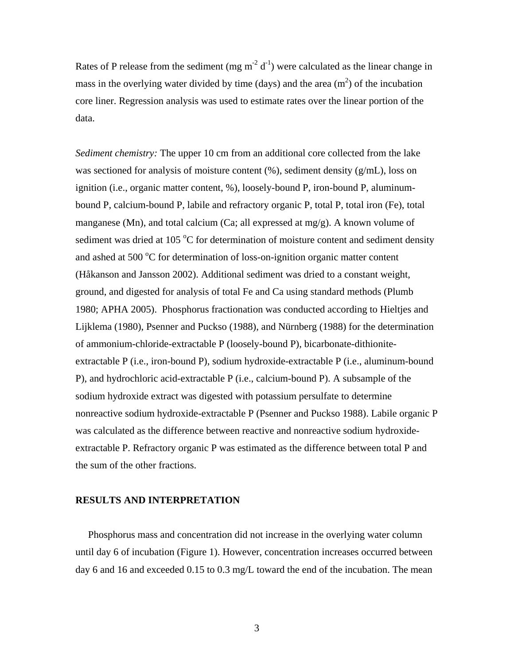Rates of P release from the sediment (mg  $m<sup>2</sup> d<sup>-1</sup>$ ) were calculated as the linear change in mass in the overlying water divided by time (days) and the area  $(m<sup>2</sup>)$  of the incubation core liner. Regression analysis was used to estimate rates over the linear portion of the data.

*Sediment chemistry:* The upper 10 cm from an additional core collected from the lake was sectioned for analysis of moisture content (%), sediment density (g/mL), loss on ignition (i.e., organic matter content, %), loosely-bound P, iron-bound P, aluminumbound P, calcium-bound P, labile and refractory organic P, total P, total iron (Fe), total manganese (Mn), and total calcium (Ca; all expressed at  $mg/g$ ). A known volume of sediment was dried at 105 °C for determination of moisture content and sediment density and ashed at 500 $\mathrm{^{\circ}C}$  for determination of loss-on-ignition organic matter content (Håkanson and Jansson 2002). Additional sediment was dried to a constant weight, ground, and digested for analysis of total Fe and Ca using standard methods (Plumb 1980; APHA 2005). Phosphorus fractionation was conducted according to Hieltjes and Lijklema (1980), Psenner and Puckso (1988), and Nürnberg (1988) for the determination of ammonium-chloride-extractable P (loosely-bound P), bicarbonate-dithioniteextractable P (i.e., iron-bound P), sodium hydroxide-extractable P (i.e., aluminum-bound P), and hydrochloric acid-extractable P (i.e., calcium-bound P). A subsample of the sodium hydroxide extract was digested with potassium persulfate to determine nonreactive sodium hydroxide-extractable P (Psenner and Puckso 1988). Labile organic P was calculated as the difference between reactive and nonreactive sodium hydroxideextractable P. Refractory organic P was estimated as the difference between total P and the sum of the other fractions.

## **RESULTS AND INTERPRETATION**

 Phosphorus mass and concentration did not increase in the overlying water column until day 6 of incubation (Figure 1). However, concentration increases occurred between day 6 and 16 and exceeded 0.15 to 0.3 mg/L toward the end of the incubation. The mean

3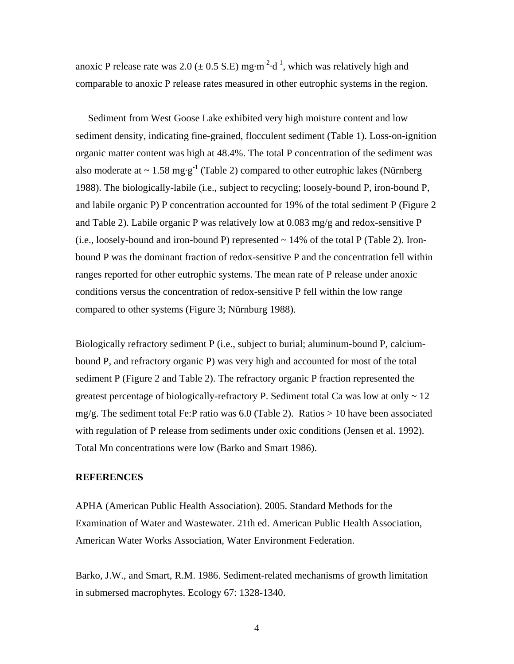anoxic P release rate was 2.0 ( $\pm$  0.5 S.E) mg·m<sup>-2</sup>·d<sup>-1</sup>, which was relatively high and comparable to anoxic P release rates measured in other eutrophic systems in the region.

 Sediment from West Goose Lake exhibited very high moisture content and low sediment density, indicating fine-grained, flocculent sediment (Table 1). Loss-on-ignition organic matter content was high at 48.4%. The total P concentration of the sediment was also moderate at  $\sim 1.58$  mg·g<sup>-1</sup> (Table 2) compared to other eutrophic lakes (Nürnberg 1988). The biologically-labile (i.e., subject to recycling; loosely-bound P, iron-bound P, and labile organic P) P concentration accounted for 19% of the total sediment P (Figure 2 and Table 2). Labile organic P was relatively low at 0.083 mg/g and redox-sensitive P  $(i.e., loosely-bound and iron-bound P)$  represented  $\sim$  14% of the total P (Table 2). Ironbound P was the dominant fraction of redox-sensitive P and the concentration fell within ranges reported for other eutrophic systems. The mean rate of P release under anoxic conditions versus the concentration of redox-sensitive P fell within the low range compared to other systems (Figure 3; Nürnburg 1988).

Biologically refractory sediment P (i.e., subject to burial; aluminum-bound P, calciumbound P, and refractory organic P) was very high and accounted for most of the total sediment P (Figure 2 and Table 2). The refractory organic P fraction represented the greatest percentage of biologically-refractory P. Sediment total Ca was low at only  $\sim 12$ mg/g. The sediment total Fe:P ratio was 6.0 (Table 2). Ratios  $> 10$  have been associated with regulation of P release from sediments under oxic conditions (Jensen et al. 1992). Total Mn concentrations were low (Barko and Smart 1986).

## **REFERENCES**

APHA (American Public Health Association). 2005. Standard Methods for the Examination of Water and Wastewater. 21th ed. American Public Health Association, American Water Works Association, Water Environment Federation.

Barko, J.W., and Smart, R.M. 1986. Sediment-related mechanisms of growth limitation in submersed macrophytes. Ecology 67: 1328-1340.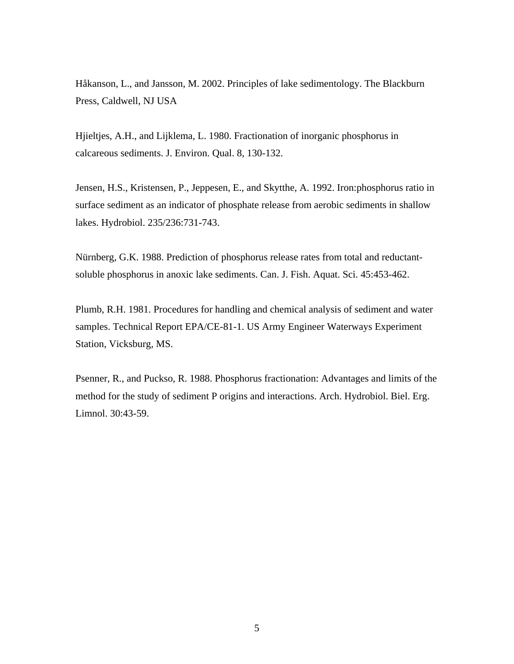Håkanson, L., and Jansson, M. 2002. Principles of lake sedimentology. The Blackburn Press, Caldwell, NJ USA

Hjieltjes, A.H., and Lijklema, L. 1980. Fractionation of inorganic phosphorus in calcareous sediments. J. Environ. Qual. 8, 130-132.

Jensen, H.S., Kristensen, P., Jeppesen, E., and Skytthe, A. 1992. Iron:phosphorus ratio in surface sediment as an indicator of phosphate release from aerobic sediments in shallow lakes. Hydrobiol. 235/236:731-743.

Nürnberg, G.K. 1988. Prediction of phosphorus release rates from total and reductantsoluble phosphorus in anoxic lake sediments. Can. J. Fish. Aquat. Sci. 45:453-462.

Plumb, R.H. 1981. Procedures for handling and chemical analysis of sediment and water samples. Technical Report EPA/CE-81-1. US Army Engineer Waterways Experiment Station, Vicksburg, MS.

Psenner, R., and Puckso, R. 1988. Phosphorus fractionation: Advantages and limits of the method for the study of sediment P origins and interactions. Arch. Hydrobiol. Biel. Erg. Limnol. 30:43-59.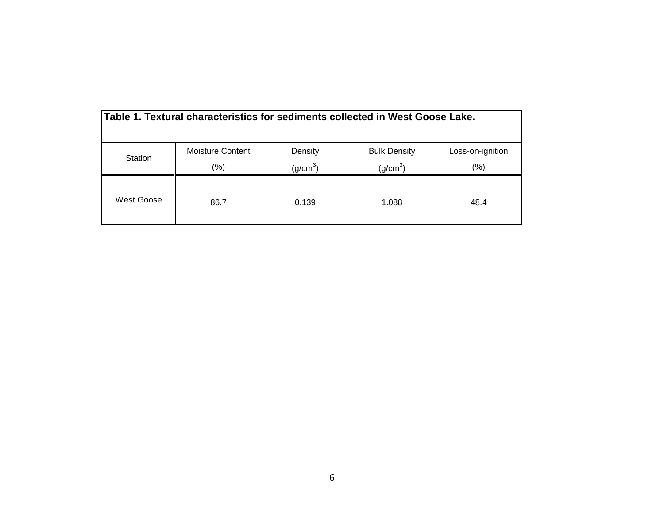| Table 1. Textural characteristics for sediments collected in West Goose Lake. |                  |                      |                      |                  |  |  |  |  |
|-------------------------------------------------------------------------------|------------------|----------------------|----------------------|------------------|--|--|--|--|
| Station                                                                       | Moisture Content | Density              | <b>Bulk Density</b>  | Loss-on-ignition |  |  |  |  |
|                                                                               | $(\% )$          | (g/cm <sup>3</sup> ) | (g/cm <sup>3</sup> ) | (%)              |  |  |  |  |
| West Goose                                                                    | 86.7             | 0.139                | 1.088                | 48.4             |  |  |  |  |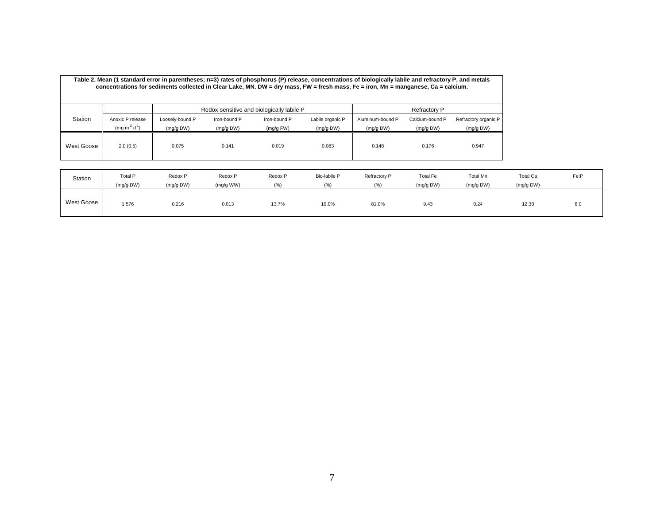| Table 2. Mean (1 standard error in parentheses; n=3) rates of phosphorus (P) release, concentrations of biologically labile and refractory P, and metals<br>concentrations for sediments collected in Clear Lake, MN. DW = dry mass, FW = fresh mass, Fe = iron, Mn = manganese, Ca = calcium. |                  |                                           |              |              |                  |                     |                 |                      |  |
|------------------------------------------------------------------------------------------------------------------------------------------------------------------------------------------------------------------------------------------------------------------------------------------------|------------------|-------------------------------------------|--------------|--------------|------------------|---------------------|-----------------|----------------------|--|
|                                                                                                                                                                                                                                                                                                |                  | Redox-sensitive and biologically labile P |              |              |                  | <b>Refractory P</b> |                 |                      |  |
| Station                                                                                                                                                                                                                                                                                        | Anoxic P release | Loosely-bound P                           | Iron-bound P | Iron-bound P | Labile organic P | Aluminum-bound P    | Calcium-bound P | Refractory organic P |  |
|                                                                                                                                                                                                                                                                                                | $(mg m^2 d^1)$   | (mg/g DW)                                 | (mg/g DW)    | (mg/g FW)    | (mg/g DW)        | (mg/g DW)           | (mg/g DW)       | (mg/g DW)            |  |
| West Goose                                                                                                                                                                                                                                                                                     | 2.0(0.5)         | 0.075                                     | 0.141        | 0.019        | 0.083            | 0.148               | 0.176           | 0.947                |  |

| Station    | Total P<br>(mq/q DW) | Redox P<br>(mg/g DW) | Redox P<br>(mg/g WW) | Redox P<br>(% | Bio-labile P<br>10/2 | Refractory P<br>(9/6) | Total Fe<br>(mg/g DW) | Total Mn<br>(mg/g DW) | <b>Total Ca</b><br>(mg/g DW) | Fe:P |
|------------|----------------------|----------------------|----------------------|---------------|----------------------|-----------------------|-----------------------|-----------------------|------------------------------|------|
| West Goose | 1.576                | 0.216                | 0.013                | 13.7%         | 19.0%                | 81.0%                 | 9.43                  | 0.24                  | 12.30<br>$ -$                | 6.0  |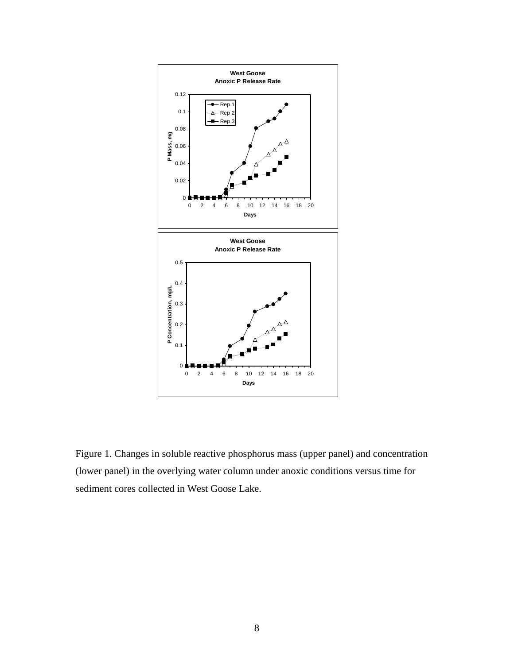

Figure 1. Changes in soluble reactive phosphorus mass (upper panel) and concentration (lower panel) in the overlying water column under anoxic conditions versus time for sediment cores collected in West Goose Lake.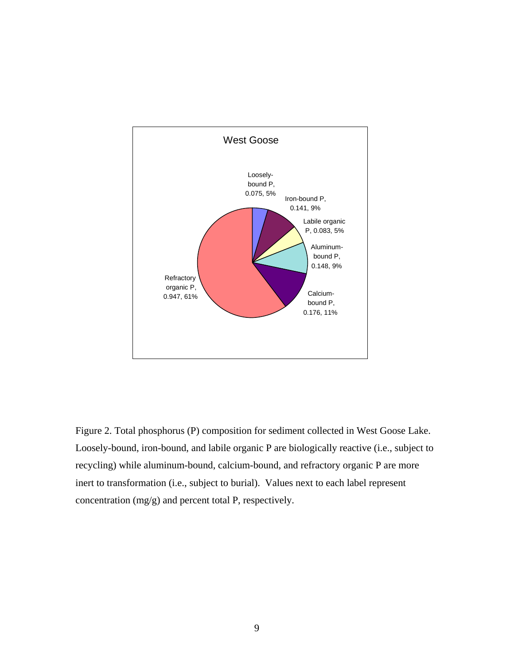

Figure 2. Total phosphorus (P) composition for sediment collected in West Goose Lake. Loosely-bound, iron-bound, and labile organic P are biologically reactive (i.e., subject to recycling) while aluminum-bound, calcium-bound, and refractory organic P are more inert to transformation (i.e., subject to burial). Values next to each label represent concentration (mg/g) and percent total P, respectively.